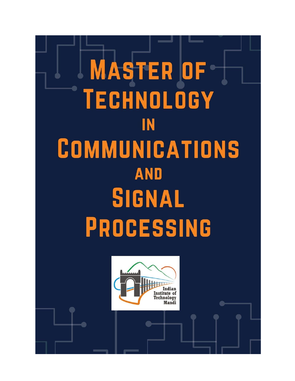

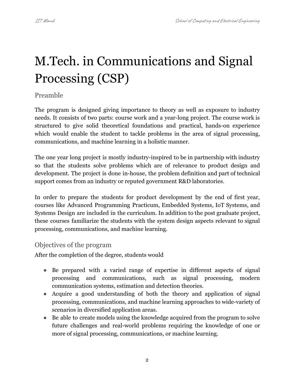# M.Tech. in Communications and Signal Processing (CSP)

# Preamble

The program is designed giving importance to theory as well as exposure to industry needs. It consists of two parts: course work and a year-long project. The course work is structured to give solid theoretical foundations and practical, hands-on experience which would enable the student to tackle problems in the area of signal processing, communications, and machine learning in a holistic manner.

The one year long project is mostly industry-inspired to be in partnership with industry so that the students solve problems which are of relevance to product design and development. The project is done in-house, the problem definition and part of technical support comes from an industry or reputed government R&D laboratories.

In order to prepare the students for product development by the end of first year, courses like Advanced Programming Practicum, Embedded Systems, IoT Systems, and Systems Design are included in the curriculum. In addition to the post graduate project, these courses familiarize the students with the system design aspects relevant to signal processing, communications, and machine learning.

# Objectives of the program

After the completion of the degree, students would

- Be prepared with a varied range of expertise in different aspects of signal processing and communications, such as signal processing, modern communication systems, estimation and detection theories.
- Acquire a good understanding of both the theory and application of signal processing, communications, and machine learning approaches to wide-variety of scenarios in diversified application areas.
- Be able to create models using the knowledge acquired from the program to solve future challenges and real-world problems requiring the knowledge of one or more of signal processing, communications, or machine learning.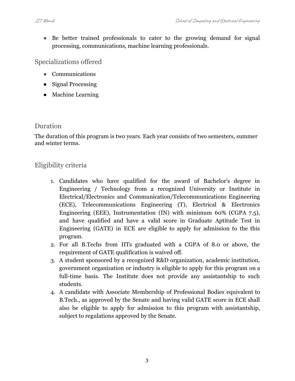• Be better trained professionals to cater to the growing demand for signal processing, communications, machine learning professionals.

Specializations offered

- Communications
- Signal Processing
- Machine Learning

# Duration

The duration of this program is two years. Each year consists of two semesters, summer and winter terms.

# Eligibility criteria

- 1. Candidates who have qualified for the award of Bachelor's degree in Engineering / Technology from a recognized University or Institute in Electrical/Electronics and Communication/Telecommunications Engineering (ECE), Telecommunications Engineering (T), Electrical & Electronics Engineering (EEE), Instrumentation (IN) with minimum 60% (CGPA 7.5), and have qualified and have a valid score in Graduate Aptitude Test in Engineering (GATE) in ECE are eligible to apply for admission to the this program.
- 2. For all B.Techs from IITs graduated with a CGPA of 8.0 or above, the requirement of GATE qualification is waived off.
- 3. A student sponsored by a recognized R&D organization, academic institution, government organization or industry is eligible to apply for this program on a full-time basis. The Institute does not provide any assistantship to such students.
- 4. A candidate with Associate Membership of Professional Bodies equivalent to B.Tech., as approved by the Senate and having valid GATE score in ECE shall also be eligible to apply for admission to this program with assistantship, subject to regulations approved by the Senate.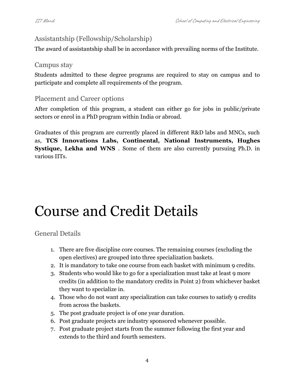# Assistantship (Fellowship/Scholarship)

The award of assistantship shall be in accordance with prevailing norms of the Institute.

## Campus stay

Students admitted to these degree programs are required to stay on campus and to participate and complete all requirements of the program.

# Placement and Career options

After completion of this program, a student can either go for jobs in public/private sectors or enrol in a PhD program within India or abroad.

Graduates of this program are currently placed in different R&D labs and MNCs, such as, **TCS Innovations Labs, Continental, National Instruments, Hughes Systique, Lekha and WNS** . Some of them are also currently pursuing Ph.D. in various IITs.

# Course and Credit Details

General Details

- 1. There are five discipline core courses. The remaining courses (excluding the open electives) are grouped into three specialization baskets.
- 2. It is mandatory to take one course from each basket with minimum 9 credits.
- 3. Students who would like to go for a specialization must take at least 9 more credits (in addition to the mandatory credits in Point 2) from whichever basket they want to specialize in.
- 4. Those who do not want any specialization can take courses to satisfy 9 credits from across the baskets.
- 5. The post graduate project is of one year duration.
- 6. Post graduate projects are industry sponsored whenever possible.
- 7. Post graduate project starts from the summer following the first year and extends to the third and fourth semesters.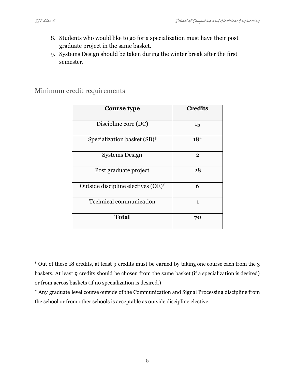- 8. Students who would like to go for a specialization must have their post graduate project in the same basket.
- 9. Systems Design should be taken during the winter break after the first semester.

# <span id="page-4-0"></span>Minimum credit requirements

| Course type                              | <b>Credits</b> |
|------------------------------------------|----------------|
| Discipline core (DC)                     | 15             |
| Specialization basket (SB) <sup>\$</sup> | $18*$          |
| <b>Systems Design</b>                    | $\overline{2}$ |
| Post graduate project                    | 28             |
| Outside discipline electives $(OE)^*$    | 6              |
| <b>Technical communication</b>           | 1              |
| <b>Total</b>                             | 70             |

\$ Out of these 18 credits, at least 9 credits must be earned by taking one course each from the 3 baskets. At least 9 credits should be chosen from the same basket (if a specialization is desired) or from across baskets (if no specialization is desired.)

# Any graduate level course outside of the Communication and Signal Processing discipline from the school or from other schools is acceptable as outside discipline elective.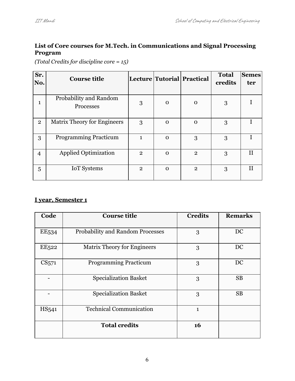## **List of Core courses for M.Tech. in Communications and Signal Processing Program**

*(Total Credits for discipline core = 15)*

| Sr.<br>No.     | <b>Course title</b>                 |                |          | Lecture Tutorial Practical | <b>Total</b><br>credits | <b>Semes</b><br>ter |
|----------------|-------------------------------------|----------------|----------|----------------------------|-------------------------|---------------------|
| 1              | Probability and Random<br>Processes | 3              | $\Omega$ | $\Omega$                   | 3                       |                     |
| $\overline{2}$ | <b>Matrix Theory for Engineers</b>  | 3              | $\Omega$ | $\Omega$                   | 3                       |                     |
| 3              | <b>Programming Practicum</b>        | 1              | $\Omega$ | 3                          | 3                       |                     |
| $\overline{4}$ | <b>Applied Optimization</b>         | $\overline{2}$ | $\Omega$ | $\mathbf{2}$               | 3                       |                     |
| 5              | <b>IoT</b> Systems                  | $\overline{2}$ | $\Omega$ | $\mathbf{2}$               | 3                       | Н                   |

## **I year, Semester 1**

| Code              | <b>Course title</b>                     | <b>Credits</b> | <b>Remarks</b> |
|-------------------|-----------------------------------------|----------------|----------------|
| EE <sub>534</sub> | <b>Probability and Random Processes</b> | 3              | DC             |
| EE <sub>522</sub> | <b>Matrix Theory for Engineers</b>      | 3              | DC             |
| CS <sub>571</sub> | <b>Programming Practicum</b>            | 3              | DC             |
|                   | <b>Specialization Basket</b>            | 3              | <b>SB</b>      |
|                   | <b>Specialization Basket</b>            | 3              | <b>SB</b>      |
| HS <sub>541</sub> | <b>Technical Communication</b>          | $\mathbf{1}$   |                |
|                   | <b>Total credits</b>                    | 16             |                |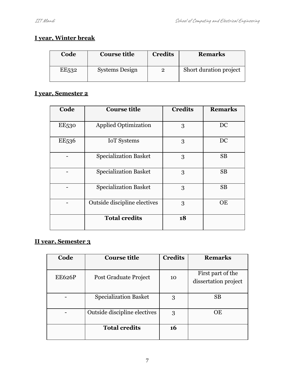# **I year, Winter break**

| Code               | <b>Course title</b>   | <b>Credits</b> | <b>Remarks</b>         |
|--------------------|-----------------------|----------------|------------------------|
| EE <sub>5</sub> 32 | <b>Systems Design</b> |                | Short duration project |

# **I year, Semester 2**

| Code              | <b>Course title</b>          | <b>Credits</b> | <b>Remarks</b> |
|-------------------|------------------------------|----------------|----------------|
| <b>EE530</b>      | <b>Applied Optimization</b>  | 3              | DC             |
| EE <sub>536</sub> | <b>IoT</b> Systems           | 3              | DC             |
|                   | <b>Specialization Basket</b> | 3              | <b>SB</b>      |
|                   | <b>Specialization Basket</b> | 3              | <b>SB</b>      |
|                   | <b>Specialization Basket</b> | 3              | <b>SB</b>      |
|                   | Outside discipline electives | 3              | OE             |
|                   | <b>Total credits</b>         | 18             |                |

# **II year, Semester 3**

| Code          | <b>Course title</b>          | <b>Credits</b> | <b>Remarks</b>       |
|---------------|------------------------------|----------------|----------------------|
|               |                              |                |                      |
| <b>EE626P</b> | Post Graduate Project        | 10             | First part of the    |
|               |                              |                | dissertation project |
|               |                              |                |                      |
|               | <b>Specialization Basket</b> | 3              | <b>SB</b>            |
|               |                              |                |                      |
|               | Outside discipline electives | 3              | ОE                   |
|               |                              |                |                      |
|               | <b>Total credits</b>         | 16             |                      |
|               |                              |                |                      |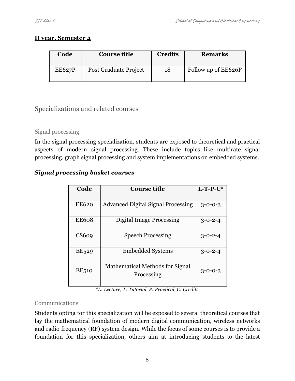## **II year, Semester 4**

| Code          | <b>Course title</b>   | <b>Credits</b> | <b>Remarks</b>      |
|---------------|-----------------------|----------------|---------------------|
| <b>EE627P</b> | Post Graduate Project | 18             | Follow up of EE626P |

# Specializations and related courses

# Signal processing

In the signal processing specialization, students are exposed to theoretical and practical aspects of modern signal processing. These include topics like multirate signal processing, graph signal processing and system implementations on embedded systems.

# *Signal processing basket courses*

| Code              | <b>Course title</b>                           | $L$ -T-P- $C^*$ |
|-------------------|-----------------------------------------------|-----------------|
|                   |                                               |                 |
| <b>EE620</b>      | <b>Advanced Digital Signal Processing</b>     | $3 - 0 - 0 - 3$ |
| <b>EE608</b>      | <b>Digital Image Processing</b>               | $3 - 0 - 2 - 4$ |
| CS609             | <b>Speech Processing</b>                      | $3 - 0 - 2 - 4$ |
| EE <sub>529</sub> | <b>Embedded Systems</b>                       | $3 - 0 - 2 - 4$ |
| EE510             | Mathematical Methods for Signal<br>Processing | $3 - 0 - 0 - 3$ |

*\*L: Lecture, T: Tutorial, P: Practical, C: Credits*

## Communications

Students opting for this specialization will be exposed to several theoretical courses that lay the mathematical foundation of modern digital communication, wireless networks and radio frequency (RF) system design. While the focus of some courses is to provide a foundation for this specialization, others aim at introducing students to the latest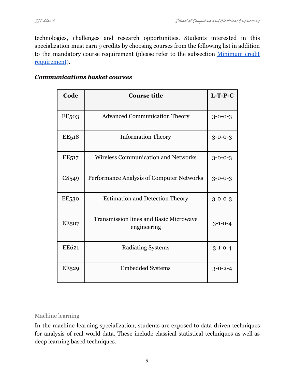technologies, challenges and research opportunities. Students interested in this specialization must earn 9 credits by choosing courses from the following list in addition to the mandatory course requirement (please refer to the subsection [Minimum](#page-4-0) credit [requirement](#page-4-0)).

#### *Communications basket courses*

| Code              | <b>Course title</b>                                          | $L-T-P-C$       |
|-------------------|--------------------------------------------------------------|-----------------|
| <b>EE503</b>      | <b>Advanced Communication Theory</b>                         | $3 - 0 - 0 - 3$ |
| <b>EE518</b>      | <b>Information Theory</b>                                    | $3 - 0 - 0 - 3$ |
| EE <sub>517</sub> | <b>Wireless Communication and Networks</b>                   | $3 - 0 - 0 - 3$ |
| CS <sub>549</sub> | Performance Analysis of Computer Networks                    | $3 - 0 - 0 - 3$ |
| EE530             | <b>Estimation and Detection Theory</b>                       | $3 - 0 - 0 - 3$ |
| <b>EE507</b>      | <b>Transmission lines and Basic Microwave</b><br>engineering | $3 - 1 - 0 - 4$ |
| EE621             | Radiating Systems                                            | $3 - 1 - 0 - 4$ |
| EE <sub>529</sub> | <b>Embedded Systems</b>                                      | $3 - 0 - 2 - 4$ |

#### Machine learning

In the machine learning specialization, students are exposed to data-driven techniques for analysis of real-world data. These include classical statistical techniques as well as deep learning based techniques.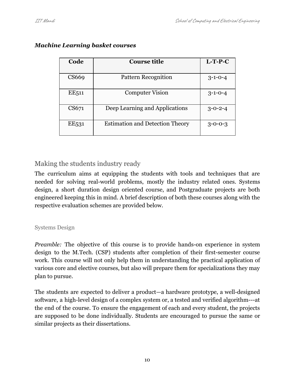| Code              | <b>Course title</b>                    | $L-T-P-C$       |
|-------------------|----------------------------------------|-----------------|
| CS669             | Pattern Recognition                    | $3-1-0-4$       |
| EE <sub>511</sub> | <b>Computer Vision</b>                 | $3 - 1 - 0 - 4$ |
| CS671             | Deep Learning and Applications         | $3 - 0 - 2 - 4$ |
| EE <sub>531</sub> | <b>Estimation and Detection Theory</b> | $3 - 0 - 0 - 3$ |

## *Machine Learning basket courses*

# Making the students industry ready

The curriculum aims at equipping the students with tools and techniques that are needed for solving real-world problems, mostly the industry related ones. Systems design, a short duration design oriented course, and Postgraduate projects are both engineered keeping this in mind. A brief description of both these courses along with the respective evaluation schemes are provided below.

# Systems Design

*Preamble:* The objective of this course is to provide hands-on experience in system design to the M.Tech. (CSP) students after completion of their first-semester course work. This course will not only help them in understanding the practical application of various core and elective courses, but also will prepare them for specializations they may plan to pursue.

The students are expected to deliver a product—a hardware prototype, a well-designed software, a high-level design of a complex system or, a tested and verified algorithm---at the end of the course. To ensure the engagement of each and every student, the projects are supposed to be done individually. Students are encouraged to pursue the same or similar projects as their dissertations.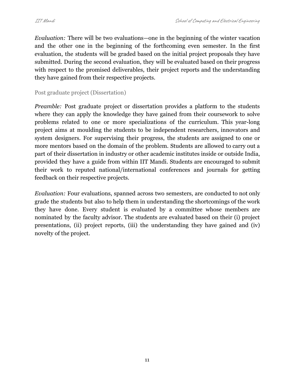*Evaluation:* There will be two evaluations—one in the beginning of the winter vacation and the other one in the beginning of the forthcoming even semester. In the first evaluation, the students will be graded based on the initial project proposals they have submitted. During the second evaluation, they will be evaluated based on their progress with respect to the promised deliverables, their project reports and the understanding they have gained from their respective projects.

Post graduate project (Dissertation)

*Preamble:* Post graduate project or dissertation provides a platform to the students where they can apply the knowledge they have gained from their coursework to solve problems related to one or more specializations of the curriculum. This year-long project aims at moulding the students to be independent researchers, innovators and system designers. For supervising their progress, the students are assigned to one or more mentors based on the domain of the problem. Students are allowed to carry out a part of their dissertation in industry or other academic institutes inside or outside India, provided they have a guide from within IIT Mandi. Students are encouraged to submit their work to reputed national/international conferences and journals for getting feedback on their respective projects.

*Evaluation:* Four evaluations, spanned across two semesters, are conducted to not only grade the students but also to help them in understanding the shortcomings of the work they have done. Every student is evaluated by a committee whose members are nominated by the faculty advisor. The students are evaluated based on their (i) project presentations, (ii) project reports, (iii) the understanding they have gained and (iv) novelty of the project.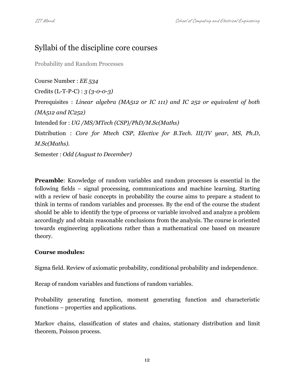# Syllabi of the discipline core courses

Probability and Random Processes

Course Number : *EE 534* Credits (L-T-P-C) : *3 (3-0-0-3)* Prerequisites : *Linear algebra (MA512 or IC 111) and IC 252 or equivalent of both (MA512 and IC252)* Intended for : *UG /MS/MTech (CSP)/PhD/M.Sc(Maths)* Distribution : *Core for Mtech CSP, Elective for B.Tech. III/IV year, MS, Ph.D, M.Sc(Maths).* Semester : *Odd (August to December)*

**Preamble:** Knowledge of random variables and random processes is essential in the following fields – signal processing, communications and machine learning. Starting with a review of basic concepts in probability the course aims to prepare a student to think in terms of random variables and processes. By the end of the course the student should be able to identify the type of process or variable involved and analyze a problem accordingly and obtain reasonable conclusions from the analysis. The course is oriented towards engineering applications rather than a mathematical one based on measure theory.

#### **Course modules:**

Sigma field. Review of axiomatic probability, conditional probability and independence.

Recap of random variables and functions of random variables.

Probability generating function, moment generating function and characteristic functions – properties and applications.

Markov chains, classification of states and chains, stationary distribution and limit theorem, Poisson process.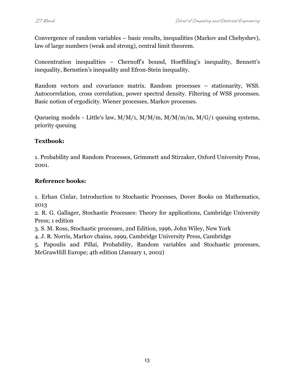Convergence of random variables – basic results, inequalities (Markov and Chebyshev), law of large numbers (weak and strong), central limit theorem.

Concentration inequalities – Chernoff's bound, Hoeffding's inequality, Bennett's inequality, Bernstien's inequality and Efron-Stein inequality.

Random vectors and covariance matrix. Random processes – stationarity, WSS. Autocorrelation, cross correlation, power spectral density. Filtering of WSS processes. Basic notion of ergodicity. Wiener processes, Markov processes.

Queueing models - Little's law, M/M/1, M/M/m, M/M/m/m, M/G/1 queuing systems, priority queuing

## **Textbook:**

1. Probability and Random Processes, Grimmett and Stirzaker, Oxford University Press, 2001.

## **Reference books:**

1. Erhan Cinlar, Introduction to Stochastic Processes, Dover Books on Mathematics, 2013

2. R. G. Gallager, Stochastic Processes: Theory for applications, Cambridge University Press; 1 edition

3. S. M. Ross, Stochastic processes, 2nd Edition, 1996, John Wiley, New York

4. J. R. Norris, Markov chains, 1999, Cambridge University Press, Cambridge

5. Papoulis and Pillai, Probability, Random variables and Stochastic processes, McGrawHill Europe; 4th edition (January 1, 2002)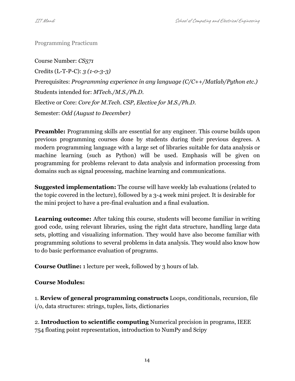Programming Practicum

Course Number: *CS571* Credits (L-T-P-C): *3 (1-0-3-3)* Prerequisites: *Programming experience in any language (C/C++/Matlab/Python etc.)* Students intended for: *MTech./M.S./Ph.D.* Elective or Core: *Core for M.Tech. CSP, Elective for M.S./Ph.D*. Semester: *Odd (August to December)*

**Preamble:** Programming skills are essential for any engineer. This course builds upon previous programming courses done by students during their previous degrees. A modern programming language with a large set of libraries suitable for data analysis or machine learning (such as Python) will be used. Emphasis will be given on programming for problems relevant to data analysis and information processing from domains such as signal processing, machine learning and communications.

**Suggested implementation:** The course will have weekly lab evaluations (related to the topic covered in the lecture), followed by a 3-4 week mini project. It is desirable for the mini project to have a pre-final evaluation and a final evaluation.

**Learning outcome:** After taking this course, students will become familiar in writing good code, using relevant libraries, using the right data structure, handling large data sets, plotting and visualizing information. They would have also become familiar with programming solutions to several problems in data analysis. They would also know how to do basic performance evaluation of programs.

**Course Outline:** 1 lecture per week, followed by 3 hours of lab.

# **Course Modules:**

1. **Review of general programming constructs** Loops, conditionals, recursion, file i/o, data structures: strings, tuples, lists, dictionaries

2. **Introduction to scientific computing** Numerical precision in programs, IEEE 754 floating point representation, introduction to NumPy and Scipy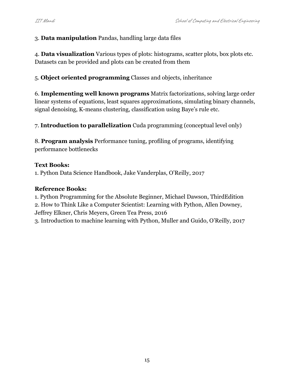## 3. **Data manipulation** Pandas, handling large data files

4. **Data visualization** Various types of plots: histograms, scatter plots, box plots etc. Datasets can be provided and plots can be created from them

5. **Object oriented programming** Classes and objects, inheritance

6. **Implementing well known programs** Matrix factorizations, solving large order linear systems of equations, least squares approximations, simulating binary channels, signal denoising, K-means clustering, classification using Baye's rule etc.

7. **Introduction to parallelization** Cuda programming (conceptual level only)

8. **Program analysis** Performance tuning, profiling of programs, identifying performance bottlenecks

### **Text Books:**

1. Python Data Science Handbook, Jake Vanderplas, O'Reilly, 2017

### **Reference Books:**

1. Python Programming for the Absolute Beginner, Michael Dawson, ThirdEdition

2. How to Think Like a Computer Scientist: Learning with Python, Allen Downey, Jeffrey Elkner, Chris Meyers, Green Tea Press, 2016

3. Introduction to machine learning with Python, Muller and Guido, O'Reilly, 2017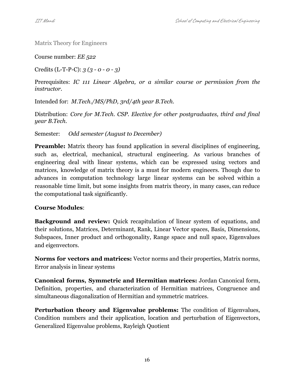Matrix Theory for Engineers

Course number: *EE 522*

Credits (L-T-P-C): *3 (3 - 0 - 0 - 3)*

Prerequisites: *IC 111 Linear Algebra, or a similar course or permission from the instructor.*

Intended for: *M.Tech./MS/PhD, 3rd/4th year B.Tech.*

Distribution: *Core for M.Tech. CSP. Elective for other postgraduates, third and final year B.Tech.*

Semester: *Odd semester (August to December)*

**Preamble:** Matrix theory has found application in several disciplines of engineering, such as, electrical, mechanical, structural engineering. As various branches of engineering deal with linear systems, which can be expressed using vectors and matrices, knowledge of matrix theory is a must for modern engineers. Though due to advances in computation technology large linear systems can be solved within a reasonable time limit, but some insights from matrix theory, in many cases, can reduce the computational task significantly.

## **Course Modules**:

**Background and review:** Quick recapitulation of linear system of equations, and their solutions, Matrices, Determinant, Rank, Linear Vector spaces, Basis, Dimensions, Subspaces, Inner product and orthogonality, Range space and null space, Eigenvalues and eigenvectors.

**Norms for vectors and matrices:** Vector norms and their properties, Matrix norms, Error analysis in linear systems

**Canonical forms, Symmetric and Hermitian matrices:** Jordan Canonical form, Definition, properties, and characterization of Hermitian matrices, Congruence and simultaneous diagonalization of Hermitian and symmetric matrices.

**Perturbation theory and Eigenvalue problems:** The condition of Eigenvalues, Condition numbers and their application, location and perturbation of Eigenvectors, Generalized Eigenvalue problems, Rayleigh Quotient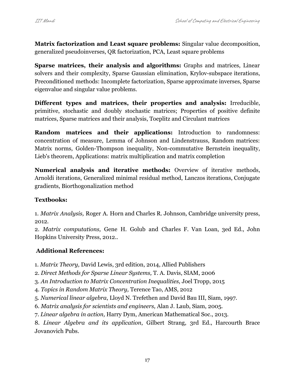**Matrix factorization and Least square problems:** Singular value decomposition, generalized pseudoinverses, QR factorization, PCA, Least square problems

**Sparse matrices, their analysis and algorithms:** Graphs and matrices, Linear solvers and their complexity, Sparse Gaussian elimination, Krylov-subspace iterations, Preconditioned methods: Incomplete factorization, Sparse approximate inverses, Sparse eigenvalue and singular value problems.

**Different types and matrices, their properties and analysis:** Irreducible, primitive, stochastic and doubly stochastic matrices; Properties of positive definite matrices, Sparse matrices and their analysis, Toeplitz and Circulant matrices

**Random matrices and their applications:** Introduction to randomness: concentration of measure, Lemma of Johnson and Lindenstrauss, Random matrices: Matrix norms, Golden-Thompson inequality, Non-commutative Bernstein inequality, Lieb's theorem, Applications: matrix multiplication and matrix completion

**Numerical analysis and iterative methods:** Overview of iterative methods, Arnoldi iterations, Generalized minimal residual method, Lanczos iterations, Conjugate gradients, Biorthogonalization method

## **Textbooks:**

1. *Matrix Analysis,* Roger A. Horn and Charles R. Johnson*,* Cambridge university press, 2012.

2. *Matrix computations,* Gene H. Golub and Charles F. Van Loan, 3ed Ed., John Hopkins University Press, 2012..

#### **Additional References:**

1. *Matrix Theory,* David Lewis, 3rd edition, 2014, Allied Publishers

- 2. *Direct Methods for Sparse Linear Systems,* T. A. Davis, SIAM, 2006
- 3. *An Introduction to Matrix Concentration Inequalities,* Joel Tropp, 2015
- 4. *Topics in Random Matrix Theory,* Terence Tao, AMS, 2012
- 5. *Numerical linear algebra*, Lloyd N. Trefethen and David Bau III, Siam, 1997*.*
- 6. *Matrix analysis for scientists and engineers,* Alan J. Laub, Siam, 2005*.*
- 7. *Linear algebra in action,* Harry Dym, American Mathematical Soc., 2013.

8. *Linear Algebra and its application*, Gilbert Strang, 3rd Ed., Harcourth Brace Jovanovich Pubs.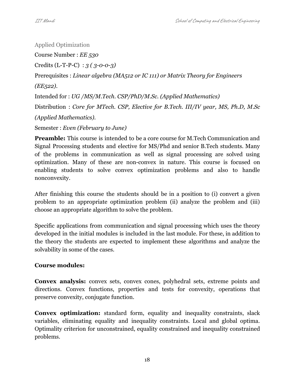Applied Optimization Course Number : *EE 530* Credits (L-T-P-C) : *3 ( 3-0-0-3)* Prerequisites : *Linear algebra (MA512 or IC 111) or Matrix Theory for Engineers (EE522).* Intended for : *UG /MS/M.Tech. CSP/PhD/M.Sc. (Applied Mathematics)* Distribution : *Core for MTech. CSP, Elective for B.Tech. III/IV year, MS, Ph.D, M.Sc (Applied Mathematics).* Semester : *Even (February to June)*

**Preamble:** This course is intended to be a core course for M.Tech Communication and Signal Processing students and elective for MS/Phd and senior B.Tech students. Many of the problems in communication as well as signal processing are solved using optimization. Many of these are non-convex in nature. This course is focused on enabling students to solve convex optimization problems and also to handle nonconvexity.

After finishing this course the students should be in a position to (i) convert a given problem to an appropriate optimization problem (ii) analyze the problem and (iii) choose an appropriate algorithm to solve the problem.

Specific applications from communication and signal processing which uses the theory developed in the initial modules is included in the last module. For these, in addition to the theory the students are expected to implement these algorithms and analyze the solvability in some of the cases.

# **Course modules:**

**Convex analysis:** convex sets, convex cones, polyhedral sets, extreme points and directions. Convex functions, properties and tests for convexity, operations that preserve convexity, conjugate function.

**Convex optimization:** standard form, equality and inequality constraints, slack variables, eliminating equality and inequality constraints. Local and global optima. Optimality criterion for unconstrained, equality constrained and inequality constrained problems.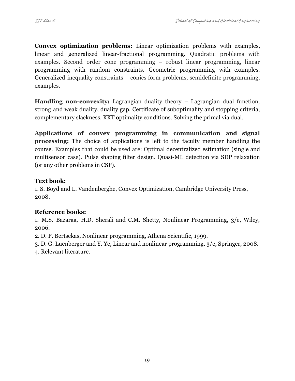**Convex optimization problems:** Linear optimization problems with examples, linear and generalized linear-fractional programming. Quadratic problems with examples. Second order cone programming – robust linear programming, linear programming with random constraints. Geometric programming with examples. Generalized inequality constraints – conics form problems, semidefinite programming, examples.

**Handling non-convexity:** Lagrangian duality theory – Lagrangian dual function, strong and weak duality, duality gap. Certificate of suboptimality and stopping criteria, complementary slackness. KKT optimality conditions. Solving the primal via dual.

**Applications of convex programming in communication and signal processing:** The choice of applications is left to the faculty member handling the course. Examples that could be used are: Optimal decentralized estimation (single and multisensor case). Pulse shaping filter design. Quasi-ML detection via SDP relaxation (or any other problems in CSP).

### **Text book:**

1. S. Boyd and L. Vandenberghe, Convex Optimization, Cambridge University Press, 2008.

## **Reference books:**

1. M.S. Bazaraa, H.D. Sherali and C.M. Shetty, Nonlinear Programming, 3/e, Wiley, 2006.

2. D. P. Bertsekas, Nonlinear programming, Athena Scientific, 1999.

3. D. G. Luenberger and Y. Ye, Linear and nonlinear programming, 3/e, Springer, 2008.

4. Relevant literature.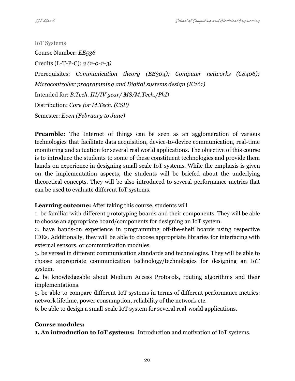IoT Systems

Course Number: *EE536* Credits (L-T-P-C): *3 (2-0-2-3)* Prerequisites: *Communication theory (EE304); Computer networks (CS406); Microcontroller programming and Digital systems design (IC161)* Intended for: *B.Tech. III/IV year/ MS/M.Tech./PhD* Distribution: *Core for M.Tech. (CSP)* Semester: *Even (February to June)*

**Preamble:** The Internet of things can be seen as an agglomeration of various technologies that facilitate data acquisition, device-to-device communication, real-time monitoring and actuation for several real world applications. The objective of this course is to introduce the students to some of these constituent technologies and provide them hands-on experience in designing small-scale IoT systems. While the emphasis is given on the implementation aspects, the students will be briefed about the underlying theoretical concepts. They will be also introduced to several performance metrics that can be used to evaluate different IoT systems.

**Learning outcome:** After taking this course, students will

1. be familiar with different prototyping boards and their components. They will be able to choose an appropriate board/components for designing an IoT system.

2. have hands-on experience in programming off-the-shelf boards using respective IDEs. Additionally, they will be able to choose appropriate libraries for interfacing with external sensors, or communication modules.

3. be versed in different communication standards and technologies. They will be able to choose appropriate communication technology/technologies for designing an IoT system.

4. be knowledgeable about Medium Access Protocols, routing algorithms and their implementations.

5. be able to compare different IoT systems in terms of different performance metrics: network lifetime, power consumption, reliability of the network etc.

6. be able to design a small-scale IoT system for several real-world applications.

# **Course modules:**

**1. An introduction to IoT systems:** Introduction and motivation of IoT systems.